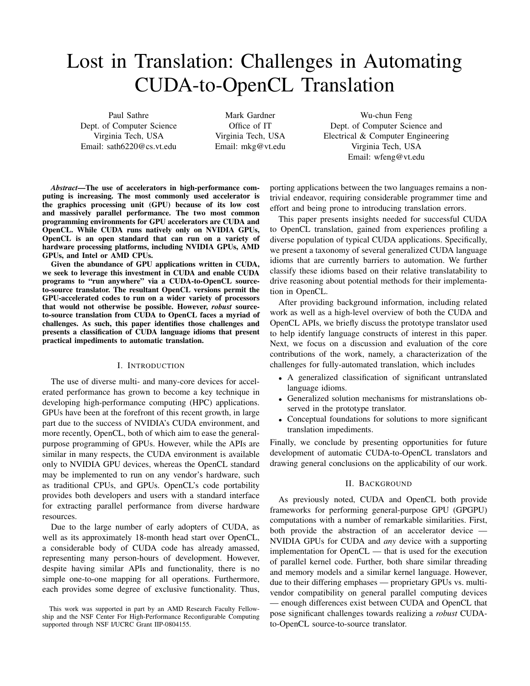# Lost in Translation: Challenges in Automating CUDA-to-OpenCL Translation

Paul Sathre Dept. of Computer Science Virginia Tech, USA Email: sath6220@cs.vt.edu

Mark Gardner Office of IT Virginia Tech, USA Email: mkg@vt.edu

Wu-chun Feng Dept. of Computer Science and Electrical & Computer Engineering Virginia Tech, USA Email: wfeng@vt.edu

*Abstract*—The use of accelerators in high-performance computing is increasing. The most commonly used accelerator is the graphics processing unit (GPU) because of its low cost and massively parallel performance. The two most common programming environments for GPU accelerators are CUDA and OpenCL. While CUDA runs natively only on NVIDIA GPUs, OpenCL is an open standard that can run on a variety of hardware processing platforms, including NVIDIA GPUs, AMD GPUs, and Intel or AMD CPUs.

Given the abundance of GPU applications written in CUDA, we seek to leverage this investment in CUDA and enable CUDA programs to "run anywhere" via a CUDA-to-OpenCL sourceto-source translator. The resultant OpenCL versions permit the GPU-accelerated codes to run on a wider variety of processors that would not otherwise be possible. However, *robust* sourceto-source translation from CUDA to OpenCL faces a myriad of challenges. As such, this paper identifies those challenges and presents a classification of CUDA language idioms that present practical impediments to automatic translation.

#### I. INTRODUCTION

The use of diverse multi- and many-core devices for accelerated performance has grown to become a key technique in developing high-performance computing (HPC) applications. GPUs have been at the forefront of this recent growth, in large part due to the success of NVIDIA's CUDA environment, and more recently, OpenCL, both of which aim to ease the generalpurpose programming of GPUs. However, while the APIs are similar in many respects, the CUDA environment is available only to NVIDIA GPU devices, whereas the OpenCL standard may be implemented to run on any vendor's hardware, such as traditional CPUs, and GPUs. OpenCL's code portability provides both developers and users with a standard interface for extracting parallel performance from diverse hardware resources.

Due to the large number of early adopters of CUDA, as well as its approximately 18-month head start over OpenCL, a considerable body of CUDA code has already amassed, representing many person-hours of development. However, despite having similar APIs and functionality, there is no simple one-to-one mapping for all operations. Furthermore, each provides some degree of exclusive functionality. Thus,

porting applications between the two languages remains a nontrivial endeavor, requiring considerable programmer time and effort and being prone to introducing translation errors.

This paper presents insights needed for successful CUDA to OpenCL translation, gained from experiences profiling a diverse population of typical CUDA applications. Specifically, we present a taxonomy of several generalized CUDA language idioms that are currently barriers to automation. We further classify these idioms based on their relative translatability to drive reasoning about potential methods for their implementation in OpenCL.

After providing background information, including related work as well as a high-level overview of both the CUDA and OpenCL APIs, we briefly discuss the prototype translator used to help identify language constructs of interest in this paper. Next, we focus on a discussion and evaluation of the core contributions of the work, namely, a characterization of the challenges for fully-automated translation, which includes

- A generalized classification of significant untranslated language idioms.
- Generalized solution mechanisms for mistranslations observed in the prototype translator.
- Conceptual foundations for solutions to more significant translation impediments.

Finally, we conclude by presenting opportunities for future development of automatic CUDA-to-OpenCL translators and drawing general conclusions on the applicability of our work.

#### II. BACKGROUND

As previously noted, CUDA and OpenCL both provide frameworks for performing general-purpose GPU (GPGPU) computations with a number of remarkable similarities. First, both provide the abstraction of an accelerator device — NVIDIA GPUs for CUDA and *any* device with a supporting implementation for OpenCL — that is used for the execution of parallel kernel code. Further, both share similar threading and memory models and a similar kernel language. However, due to their differing emphases — proprietary GPUs vs. multivendor compatibility on general parallel computing devices — enough differences exist between CUDA and OpenCL that pose significant challenges towards realizing a *robust* CUDAto-OpenCL source-to-source translator.

This work was supported in part by an AMD Research Faculty Fellowship and the NSF Center For High-Performance Reconfigurable Computing supported through NSF I/UCRC Grant IIP-0804155.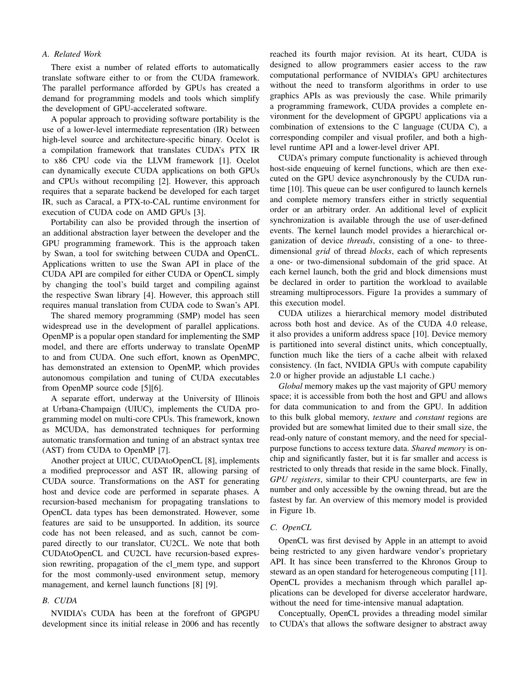#### *A. Related Work*

There exist a number of related efforts to automatically translate software either to or from the CUDA framework. The parallel performance afforded by GPUs has created a demand for programming models and tools which simplify the development of GPU-accelerated software.

A popular approach to providing software portability is the use of a lower-level intermediate representation (IR) between high-level source and architecture-specific binary. Ocelot is a compilation framework that translates CUDA's PTX IR to x86 CPU code via the LLVM framework [1]. Ocelot can dynamically execute CUDA applications on both GPUs and CPUs without recompiling [2]. However, this approach requires that a separate backend be developed for each target IR, such as Caracal, a PTX-to-CAL runtime environment for execution of CUDA code on AMD GPUs [3].

Portability can also be provided through the insertion of an additional abstraction layer between the developer and the GPU programming framework. This is the approach taken by Swan, a tool for switching between CUDA and OpenCL. Applications written to use the Swan API in place of the CUDA API are compiled for either CUDA or OpenCL simply by changing the tool's build target and compiling against the respective Swan library [4]. However, this approach still requires manual translation from CUDA code to Swan's API.

The shared memory programming (SMP) model has seen widespread use in the development of parallel applications. OpenMP is a popular open standard for implementing the SMP model, and there are efforts underway to translate OpenMP to and from CUDA. One such effort, known as OpenMPC, has demonstrated an extension to OpenMP, which provides autonomous compilation and tuning of CUDA executables from OpenMP source code [5][6].

A separate effort, underway at the University of Illinois at Urbana-Champaign (UIUC), implements the CUDA programming model on multi-core CPUs. This framework, known as MCUDA, has demonstrated techniques for performing automatic transformation and tuning of an abstract syntax tree (AST) from CUDA to OpenMP [7].

Another project at UIUC, CUDAtoOpenCL [8], implements a modified preprocessor and AST IR, allowing parsing of CUDA source. Transformations on the AST for generating host and device code are performed in separate phases. A recursion-based mechanism for propagating translations to OpenCL data types has been demonstrated. However, some features are said to be unsupported. In addition, its source code has not been released, and as such, cannot be compared directly to our translator, CU2CL. We note that both CUDAtoOpenCL and CU2CL have recursion-based expression rewriting, propagation of the cl mem type, and support for the most commonly-used environment setup, memory management, and kernel launch functions [8] [9].

# *B. CUDA*

NVIDIA's CUDA has been at the forefront of GPGPU development since its initial release in 2006 and has recently reached its fourth major revision. At its heart, CUDA is designed to allow programmers easier access to the raw computational performance of NVIDIA's GPU architectures without the need to transform algorithms in order to use graphics APIs as was previously the case. While primarily a programming framework, CUDA provides a complete environment for the development of GPGPU applications via a combination of extensions to the C language (CUDA C), a corresponding compiler and visual profiler, and both a highlevel runtime API and a lower-level driver API.

CUDA's primary compute functionality is achieved through host-side enqueuing of kernel functions, which are then executed on the GPU device asynchronously by the CUDA runtime [10]. This queue can be user configured to launch kernels and complete memory transfers either in strictly sequential order or an arbitrary order. An additional level of explicit synchronization is available through the use of user-defined events. The kernel launch model provides a hierarchical organization of device *threads*, consisting of a one- to threedimensional *grid* of thread *blocks*, each of which represents a one- or two-dimensional subdomain of the grid space. At each kernel launch, both the grid and block dimensions must be declared in order to partition the workload to available streaming multiprocessors. Figure 1a provides a summary of this execution model.

CUDA utilizes a hierarchical memory model distributed across both host and device. As of the CUDA 4.0 release, it also provides a uniform address space [10]. Device memory is partitioned into several distinct units, which conceptually, function much like the tiers of a cache albeit with relaxed consistency. (In fact, NVIDIA GPUs with compute capability 2.0 or higher provide an adjustable L1 cache.)

*Global* memory makes up the vast majority of GPU memory space; it is accessible from both the host and GPU and allows for data communication to and from the GPU. In addition to this bulk global memory, *texture* and *constant* regions are provided but are somewhat limited due to their small size, the read-only nature of constant memory, and the need for specialpurpose functions to access texture data. *Shared memory* is onchip and significantly faster, but it is far smaller and access is restricted to only threads that reside in the same block. Finally, *GPU registers*, similar to their CPU counterparts, are few in number and only accessible by the owning thread, but are the fastest by far. An overview of this memory model is provided in Figure 1b.

## *C. OpenCL*

OpenCL was first devised by Apple in an attempt to avoid being restricted to any given hardware vendor's proprietary API. It has since been transferred to the Khronos Group to steward as an open standard for heterogeneous computing [11]. OpenCL provides a mechanism through which parallel applications can be developed for diverse accelerator hardware, without the need for time-intensive manual adaptation.

Conceptually, OpenCL provides a threading model similar to CUDA's that allows the software designer to abstract away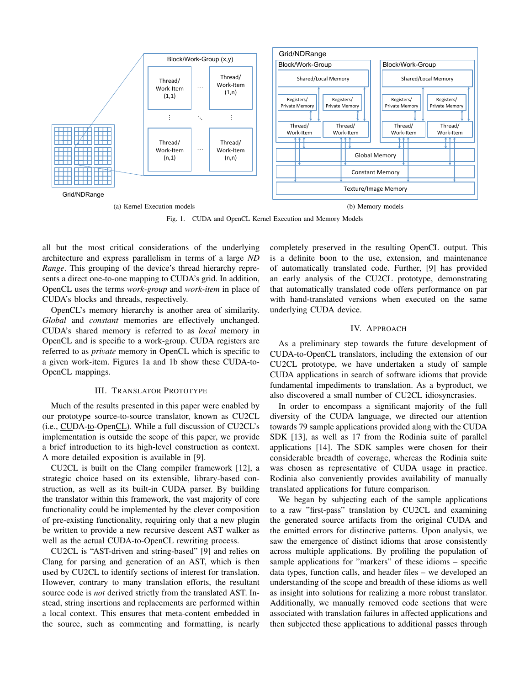

Fig. 1. CUDA and OpenCL Kernel Execution and Memory Models

all but the most critical considerations of the underlying architecture and express parallelism in terms of a large *ND Range*. This grouping of the device's thread hierarchy represents a direct one-to-one mapping to CUDA's grid. In addition, OpenCL uses the terms *work-group* and *work-item* in place of CUDA's blocks and threads, respectively.

OpenCL's memory hierarchy is another area of similarity. *Global* and *constant* memories are effectively unchanged. CUDA's shared memory is referred to as *local* memory in OpenCL and is specific to a work-group. CUDA registers are referred to as *private* memory in OpenCL which is specific to a given work-item. Figures 1a and 1b show these CUDA-to-OpenCL mappings.

#### III. TRANSLATOR PROTOTYPE

Much of the results presented in this paper were enabled by our prototype source-to-source translator, known as CU2CL (i.e., CUDA-to-OpenCL). While a full discussion of CU2CL's implementation is outside the scope of this paper, we provide a brief introduction to its high-level construction as context. A more detailed exposition is available in [9].

CU2CL is built on the Clang compiler framework [12], a strategic choice based on its extensible, library-based construction, as well as its built-in CUDA parser. By building the translator within this framework, the vast majority of core functionality could be implemented by the clever composition of pre-existing functionality, requiring only that a new plugin be written to provide a new recursive descent AST walker as well as the actual CUDA-to-OpenCL rewriting process.

CU2CL is "AST-driven and string-based" [9] and relies on Clang for parsing and generation of an AST, which is then used by CU2CL to identify sections of interest for translation. However, contrary to many translation efforts, the resultant source code is *not* derived strictly from the translated AST. Instead, string insertions and replacements are performed within a local context. This ensures that meta-content embedded in the source, such as commenting and formatting, is nearly completely preserved in the resulting OpenCL output. This is a definite boon to the use, extension, and maintenance of automatically translated code. Further, [9] has provided an early analysis of the CU2CL prototype, demonstrating that automatically translated code offers performance on par with hand-translated versions when executed on the same underlying CUDA device.

## IV. APPROACH

As a preliminary step towards the future development of CUDA-to-OpenCL translators, including the extension of our CU2CL prototype, we have undertaken a study of sample CUDA applications in search of software idioms that provide fundamental impediments to translation. As a byproduct, we also discovered a small number of CU2CL idiosyncrasies.

In order to encompass a significant majority of the full diversity of the CUDA language, we directed our attention towards 79 sample applications provided along with the CUDA SDK [13], as well as 17 from the Rodinia suite of parallel applications [14]. The SDK samples were chosen for their considerable breadth of coverage, whereas the Rodinia suite was chosen as representative of CUDA usage in practice. Rodinia also conveniently provides availability of manually translated applications for future comparison.

We began by subjecting each of the sample applications to a raw "first-pass" translation by CU2CL and examining the generated source artifacts from the original CUDA and the emitted errors for distinctive patterns. Upon analysis, we saw the emergence of distinct idioms that arose consistently across multiple applications. By profiling the population of sample applications for "markers" of these idioms – specific data types, function calls, and header files – we developed an understanding of the scope and breadth of these idioms as well as insight into solutions for realizing a more robust translator. Additionally, we manually removed code sections that were associated with translation failures in affected applications and then subjected these applications to additional passes through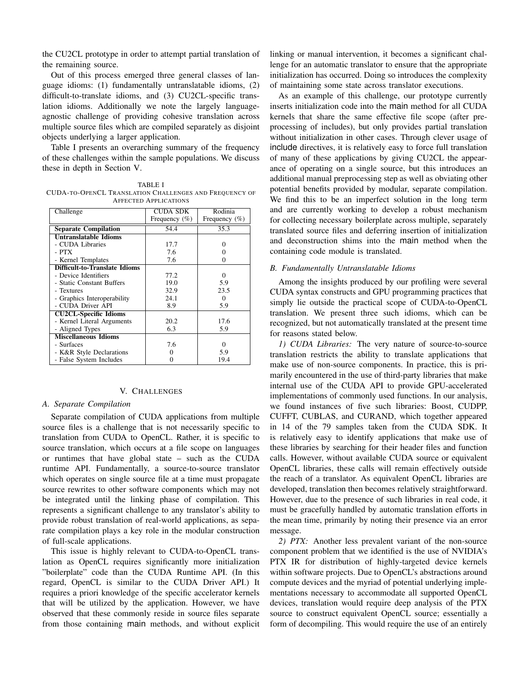the CU2CL prototype in order to attempt partial translation of the remaining source.

Out of this process emerged three general classes of language idioms: (1) fundamentally untranslatable idioms, (2) difficult-to-translate idioms, and (3) CU2CL-specific translation idioms. Additionally we note the largely languageagnostic challenge of providing cohesive translation across multiple source files which are compiled separately as disjoint objects underlying a larger application.

Table I presents an overarching summary of the frequency of these challenges within the sample populations. We discuss these in depth in Section V.

TABLE I CUDA-TO-OPENCL TRANSLATION CHALLENGES AND FREQUENCY OF AFFECTED APPLICATIONS

| Challenge                            | <b>CUDA SDK</b>   | Rodinia           |
|--------------------------------------|-------------------|-------------------|
|                                      | Frequency $(\% )$ | Frequency $(\% )$ |
| <b>Separate Compilation</b>          | 54.4              | 35.3              |
| <b>Untranslatable Idioms</b>         |                   |                   |
| - CUDA Libraries                     | 17.7              | 0                 |
| - PTX                                | 7.6               | 0                 |
| - Kernel Templates                   | 7.6               | 0                 |
| <b>Difficult-to-Translate Idioms</b> |                   |                   |
| - Device Identifiers                 | 77.2              | 0                 |
| - Static Constant Buffers            | 19.0              | 5.9               |
| - Textures                           | 32.9              | 23.5              |
| - Graphics Interoperability          | 24.1              | $\Omega$          |
| - CUDA Driver API                    | 8.9               | 5.9               |
| <b>CU2CL-Specific Idioms</b>         |                   |                   |
| - Kernel Literal Arguments           | 20.2              | 17.6              |
| - Aligned Types                      | 6.3               | 5.9               |
| <b>Miscellaneous Idioms</b>          |                   |                   |
| - Surfaces                           | 7.6               | 0                 |
| - K&R Style Declarations             |                   | 5.9               |
| - False System Includes              |                   | 19.4              |

## V. CHALLENGES

## *A. Separate Compilation*

Separate compilation of CUDA applications from multiple source files is a challenge that is not necessarily specific to translation from CUDA to OpenCL. Rather, it is specific to source translation, which occurs at a file scope on languages or runtimes that have global state – such as the CUDA runtime API. Fundamentally, a source-to-source translator which operates on single source file at a time must propagate source rewrites to other software components which may not be integrated until the linking phase of compilation. This represents a significant challenge to any translator's ability to provide robust translation of real-world applications, as separate compilation plays a key role in the modular construction of full-scale applications.

This issue is highly relevant to CUDA-to-OpenCL translation as OpenCL requires significantly more initialization "boilerplate" code than the CUDA Runtime API. (In this regard, OpenCL is similar to the CUDA Driver API.) It requires a priori knowledge of the specific accelerator kernels that will be utilized by the application. However, we have observed that these commonly reside in source files separate from those containing main methods, and without explicit linking or manual intervention, it becomes a significant challenge for an automatic translator to ensure that the appropriate initialization has occurred. Doing so introduces the complexity of maintaining some state across translator executions.

As an example of this challenge, our prototype currently inserts initialization code into the main method for all CUDA kernels that share the same effective file scope (after preprocessing of includes), but only provides partial translation without initialization in other cases. Through clever usage of include directives, it is relatively easy to force full translation of many of these applications by giving CU2CL the appearance of operating on a single source, but this introduces an additional manual preprocessing step as well as obviating other potential benefits provided by modular, separate compilation. We find this to be an imperfect solution in the long term and are currently working to develop a robust mechanism for collecting necessary boilerplate across multiple, separately translated source files and deferring insertion of initialization and deconstruction shims into the main method when the containing code module is translated.

## *B. Fundamentally Untranslatable Idioms*

Among the insights produced by our profiling were several CUDA syntax constructs and GPU programming practices that simply lie outside the practical scope of CUDA-to-OpenCL translation. We present three such idioms, which can be recognized, but not automatically translated at the present time for reasons stated below.

*1) CUDA Libraries:* The very nature of source-to-source translation restricts the ability to translate applications that make use of non-source components. In practice, this is primarily encountered in the use of third-party libraries that make internal use of the CUDA API to provide GPU-accelerated implementations of commonly used functions. In our analysis, we found instances of five such libraries: Boost, CUDPP, CUFFT, CUBLAS, and CURAND, which together appeared in 14 of the 79 samples taken from the CUDA SDK. It is relatively easy to identify applications that make use of these libraries by searching for their header files and function calls. However, without available CUDA source or equivalent OpenCL libraries, these calls will remain effectively outside the reach of a translator. As equivalent OpenCL libraries are developed, translation then becomes relatively straightforward. However, due to the presence of such libraries in real code, it must be gracefully handled by automatic translation efforts in the mean time, primarily by noting their presence via an error message.

*2) PTX:* Another less prevalent variant of the non-source component problem that we identified is the use of NVIDIA's PTX IR for distribution of highly-targeted device kernels within software projects. Due to OpenCL's abstractions around compute devices and the myriad of potential underlying implementations necessary to accommodate all supported OpenCL devices, translation would require deep analysis of the PTX source to construct equivalent OpenCL source; essentially a form of decompiling. This would require the use of an entirely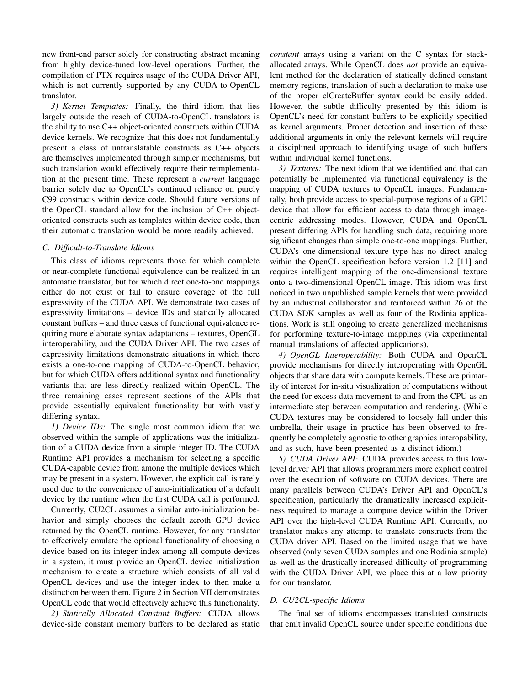new front-end parser solely for constructing abstract meaning from highly device-tuned low-level operations. Further, the compilation of PTX requires usage of the CUDA Driver API, which is not currently supported by any CUDA-to-OpenCL translator.

*3) Kernel Templates:* Finally, the third idiom that lies largely outside the reach of CUDA-to-OpenCL translators is the ability to use C++ object-oriented constructs within CUDA device kernels. We recognize that this does not fundamentally present a class of untranslatable constructs as C++ objects are themselves implemented through simpler mechanisms, but such translation would effectively require their reimplementation at the present time. These represent a *current* language barrier solely due to OpenCL's continued reliance on purely C99 constructs within device code. Should future versions of the OpenCL standard allow for the inclusion of C++ objectoriented constructs such as templates within device code, then their automatic translation would be more readily achieved.

## *C. Difficult-to-Translate Idioms*

This class of idioms represents those for which complete or near-complete functional equivalence can be realized in an automatic translator, but for which direct one-to-one mappings either do not exist or fail to ensure coverage of the full expressivity of the CUDA API. We demonstrate two cases of expressivity limitations – device IDs and statically allocated constant buffers – and three cases of functional equivalence requiring more elaborate syntax adaptations – textures, OpenGL interoperability, and the CUDA Driver API. The two cases of expressivity limitations demonstrate situations in which there exists a one-to-one mapping of CUDA-to-OpenCL behavior, but for which CUDA offers additional syntax and functionality variants that are less directly realized within OpenCL. The three remaining cases represent sections of the APIs that provide essentially equivalent functionality but with vastly differing syntax.

*1) Device IDs:* The single most common idiom that we observed within the sample of applications was the initialization of a CUDA device from a simple integer ID. The CUDA Runtime API provides a mechanism for selecting a specific CUDA-capable device from among the multiple devices which may be present in a system. However, the explicit call is rarely used due to the convenience of auto-initialization of a default device by the runtime when the first CUDA call is performed.

Currently, CU2CL assumes a similar auto-initialization behavior and simply chooses the default zeroth GPU device returned by the OpenCL runtime. However, for any translator to effectively emulate the optional functionality of choosing a device based on its integer index among all compute devices in a system, it must provide an OpenCL device initialization mechanism to create a structure which consists of all valid OpenCL devices and use the integer index to then make a distinction between them. Figure 2 in Section VII demonstrates OpenCL code that would effectively achieve this functionality.

*2) Statically Allocated Constant Buffers:* CUDA allows device-side constant memory buffers to be declared as static *constant* arrays using a variant on the C syntax for stackallocated arrays. While OpenCL does *not* provide an equivalent method for the declaration of statically defined constant memory regions, translation of such a declaration to make use of the proper clCreateBuffer syntax could be easily added. However, the subtle difficulty presented by this idiom is OpenCL's need for constant buffers to be explicitly specified as kernel arguments. Proper detection and insertion of these additional arguments in only the relevant kernels will require a disciplined approach to identifying usage of such buffers within individual kernel functions.

*3) Textures:* The next idiom that we identified and that can potentially be implemented via functional equivalency is the mapping of CUDA textures to OpenCL images. Fundamentally, both provide access to special-purpose regions of a GPU device that allow for efficient access to data through imagecentric addressing modes. However, CUDA and OpenCL present differing APIs for handling such data, requiring more significant changes than simple one-to-one mappings. Further, CUDA's one-dimensional texture type has no direct analog within the OpenCL specification before version 1.2 [11] and requires intelligent mapping of the one-dimensional texture onto a two-dimensional OpenCL image. This idiom was first noticed in two unpublished sample kernels that were provided by an industrial collaborator and reinforced within 26 of the CUDA SDK samples as well as four of the Rodinia applications. Work is still ongoing to create generalized mechanisms for performing texture-to-image mappings (via experimental manual translations of affected applications).

*4) OpenGL Interoperability:* Both CUDA and OpenCL provide mechanisms for directly interoperating with OpenGL objects that share data with compute kernels. These are primarily of interest for in-situ visualization of computations without the need for excess data movement to and from the CPU as an intermediate step between computation and rendering. (While CUDA textures may be considered to loosely fall under this umbrella, their usage in practice has been observed to frequently be completely agnostic to other graphics interopability, and as such, have been presented as a distinct idiom.)

*5) CUDA Driver API:* CUDA provides access to this lowlevel driver API that allows programmers more explicit control over the execution of software on CUDA devices. There are many parallels between CUDA's Driver API and OpenCL's specification, particularly the dramatically increased explicitness required to manage a compute device within the Driver API over the high-level CUDA Runtime API. Currently, no translator makes any attempt to translate constructs from the CUDA driver API. Based on the limited usage that we have observed (only seven CUDA samples and one Rodinia sample) as well as the drastically increased difficulty of programming with the CUDA Driver API, we place this at a low priority for our translator.

#### *D. CU2CL-specific Idioms*

The final set of idioms encompasses translated constructs that emit invalid OpenCL source under specific conditions due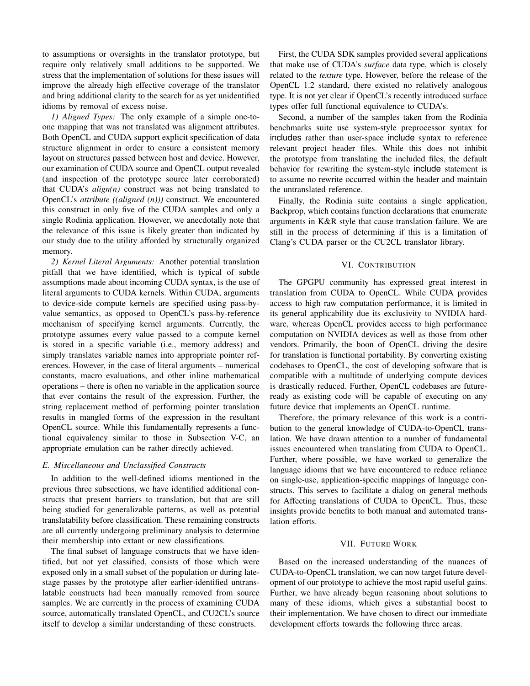to assumptions or oversights in the translator prototype, but require only relatively small additions to be supported. We stress that the implementation of solutions for these issues will improve the already high effective coverage of the translator and bring additional clarity to the search for as yet unidentified idioms by removal of excess noise.

*1) Aligned Types:* The only example of a simple one-toone mapping that was not translated was alignment attributes. Both OpenCL and CUDA support explicit specification of data structure alignment in order to ensure a consistent memory layout on structures passed between host and device. However, our examination of CUDA source and OpenCL output revealed (and inspection of the prototype source later corroborated) that CUDA's *align(n)* construct was not being translated to OpenCL's *attribute ((aligned (n)))* construct. We encountered this construct in only five of the CUDA samples and only a single Rodinia application. However, we anecdotally note that the relevance of this issue is likely greater than indicated by our study due to the utility afforded by structurally organized memory.

*2) Kernel Literal Arguments:* Another potential translation pitfall that we have identified, which is typical of subtle assumptions made about incoming CUDA syntax, is the use of literal arguments to CUDA kernels. Within CUDA, arguments to device-side compute kernels are specified using pass-byvalue semantics, as opposed to OpenCL's pass-by-reference mechanism of specifying kernel arguments. Currently, the prototype assumes every value passed to a compute kernel is stored in a specific variable (i.e., memory address) and simply translates variable names into appropriate pointer references. However, in the case of literal arguments – numerical constants, macro evaluations, and other inline mathematical operations – there is often no variable in the application source that ever contains the result of the expression. Further, the string replacement method of performing pointer translation results in mangled forms of the expression in the resultant OpenCL source. While this fundamentally represents a functional equivalency similar to those in Subsection V-C, an appropriate emulation can be rather directly achieved.

## *E. Miscellaneous and Unclassified Constructs*

In addition to the well-defined idioms mentioned in the previous three subsections, we have identified additional constructs that present barriers to translation, but that are still being studied for generalizable patterns, as well as potential translatability before classification. These remaining constructs are all currently undergoing preliminary analysis to determine their membership into extant or new classifications.

The final subset of language constructs that we have identified, but not yet classified, consists of those which were exposed only in a small subset of the population or during latestage passes by the prototype after earlier-identified untranslatable constructs had been manually removed from source samples. We are currently in the process of examining CUDA source, automatically translated OpenCL, and CU2CL's source itself to develop a similar understanding of these constructs.

First, the CUDA SDK samples provided several applications that make use of CUDA's *surface* data type, which is closely related to the *texture* type. However, before the release of the OpenCL 1.2 standard, there existed no relatively analogous type. It is not yet clear if OpenCL's recently introduced surface types offer full functional equivalence to CUDA's.

Second, a number of the samples taken from the Rodinia benchmarks suite use system-style preprocessor syntax for includes rather than user-space include syntax to reference relevant project header files. While this does not inhibit the prototype from translating the included files, the default behavior for rewriting the system-style include statement is to assume no rewrite occurred within the header and maintain the untranslated reference.

Finally, the Rodinia suite contains a single application, Backprop, which contains function declarations that enumerate arguments in K&R style that cause translation failure. We are still in the process of determining if this is a limitation of Clang's CUDA parser or the CU2CL translator library.

#### VI. CONTRIBUTION

The GPGPU community has expressed great interest in translation from CUDA to OpenCL. While CUDA provides access to high raw computation performance, it is limited in its general applicability due its exclusivity to NVIDIA hardware, whereas OpenCL provides access to high performance computation on NVIDIA devices as well as those from other vendors. Primarily, the boon of OpenCL driving the desire for translation is functional portability. By converting existing codebases to OpenCL, the cost of developing software that is compatible with a multitude of underlying compute devices is drastically reduced. Further, OpenCL codebases are futureready as existing code will be capable of executing on any future device that implements an OpenCL runtime.

Therefore, the primary relevance of this work is a contribution to the general knowledge of CUDA-to-OpenCL translation. We have drawn attention to a number of fundamental issues encountered when translating from CUDA to OpenCL. Further, where possible, we have worked to generalize the language idioms that we have encountered to reduce reliance on single-use, application-specific mappings of language constructs. This serves to facilitate a dialog on general methods for Affecting translations of CUDA to OpenCL. Thus, these insights provide benefits to both manual and automated translation efforts.

#### VII. FUTURE WORK

Based on the increased understanding of the nuances of CUDA-to-OpenCL translation, we can now target future development of our prototype to achieve the most rapid useful gains. Further, we have already begun reasoning about solutions to many of these idioms, which gives a substantial boost to their implementation. We have chosen to direct our immediate development efforts towards the following three areas.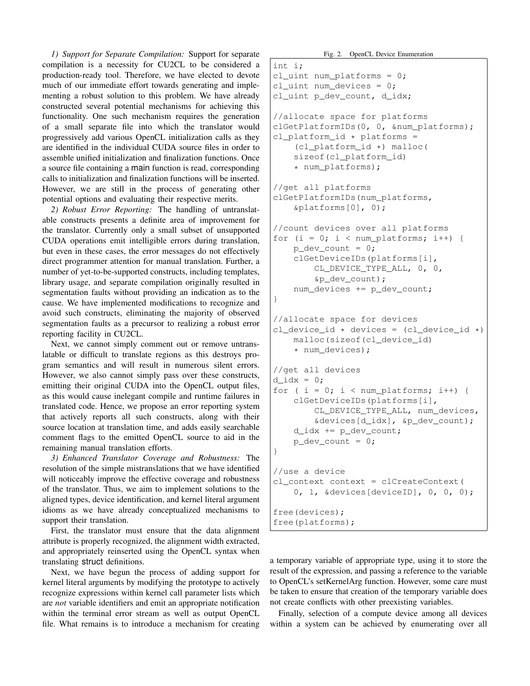*1) Support for Separate Compilation:* Support for separate compilation is a necessity for CU2CL to be considered a production-ready tool. Therefore, we have elected to devote much of our immediate effort towards generating and implementing a robust solution to this problem. We have already constructed several potential mechanisms for achieving this functionality. One such mechanism requires the generation of a small separate file into which the translator would progressively add various OpenCL initialization calls as they are identified in the individual CUDA source files in order to assemble unified initialization and finalization functions. Once a source file containing a main function is read, corresponding calls to initialization and finalization functions will be inserted. However, we are still in the process of generating other potential options and evaluating their respective merits.

*2) Robust Error Reporting:* The handling of untranslatable constructs presents a definite area of improvement for the translator. Currently only a small subset of unsupported CUDA operations emit intelligible errors during translation, but even in these cases, the error messages do not effectively direct programmer attention for manual translation. Further, a number of yet-to-be-supported constructs, including templates, library usage, and separate compilation originally resulted in segmentation faults without providing an indication as to the cause. We have implemented modifications to recognize and avoid such constructs, eliminating the majority of observed segmentation faults as a precursor to realizing a robust error reporting facility in CU2CL.

Next, we cannot simply comment out or remove untranslatable or difficult to translate regions as this destroys program semantics and will result in numerous silent errors. However, we also cannot simply pass over these constructs, emitting their original CUDA into the OpenCL output files, as this would cause inelegant compile and runtime failures in translated code. Hence, we propose an error reporting system that actively reports all such constructs, along with their source location at translation time, and adds easily searchable comment flags to the emitted OpenCL source to aid in the remaining manual translation efforts.

*3) Enhanced Translator Coverage and Robustness:* The resolution of the simple mistranslations that we have identified will noticeably improve the effective coverage and robustness of the translator. Thus, we aim to implement solutions to the aligned types, device identification, and kernel literal argument idioms as we have already conceptualized mechanisms to support their translation.

First, the translator must ensure that the data alignment attribute is properly recognized, the alignment width extracted, and appropriately reinserted using the OpenCL syntax when translating struct definitions.

Next, we have begun the process of adding support for kernel literal arguments by modifying the prototype to actively recognize expressions within kernel call parameter lists which are *not* variable identifiers and emit an appropriate notification within the terminal error stream as well as output OpenCL file. What remains is to introduce a mechanism for creating

Fig. 2. OpenCL Device Enumeration

```
int i;
cl_uint num_platforms = 0;
cl_uint num_devices = 0;
cl_uint p_dev_count, d_idx;
//allocate space for platforms
clGetPlatformIDs(0, 0, &num_platforms);
cl_platform_id * platforms =
    (cl_platform_id *) malloc(
    sizeof(cl_platform_id)
    * num_platforms);
//get all platforms
clGetPlatformIDs(num_platforms,
    &platforms[0], 0);
//count devices over all platforms
for (i = 0; i < num\_platform; i++) {
    p\_dev\_count = 0;clGetDeviceIDs(platforms[i],
        CL_DEVICE_TYPE_ALL, 0, 0,
        &p_dev_count);
    num_devices += p_dev_count;
}
//allocate space for devices
cl\_device\_id \times devices = (cl\_device\_id \times)malloc(sizeof(cl_device_id)
    * num_devices);
//get all devices
d idx = 0;for ( i = 0; i < num\_platforms; i++) {
    clGetDeviceIDs(platforms[i],
        CL_DEVICE_TYPE_ALL, num_devices,
        &devices[d_idx], &p_dev_count);
    d_idx += p_dev_count;
    p dev count = 0;
}
//use a device
cl_context context = clCreateContext(
    0, 1, &devices[deviceID], 0, 0, 0);
free(devices);
free(platforms);
```
a temporary variable of appropriate type, using it to store the result of the expression, and passing a reference to the variable to OpenCL's setKernelArg function. However, some care must be taken to ensure that creation of the temporary variable does not create conflicts with other preexisting variables.

Finally, selection of a compute device among all devices within a system can be achieved by enumerating over all